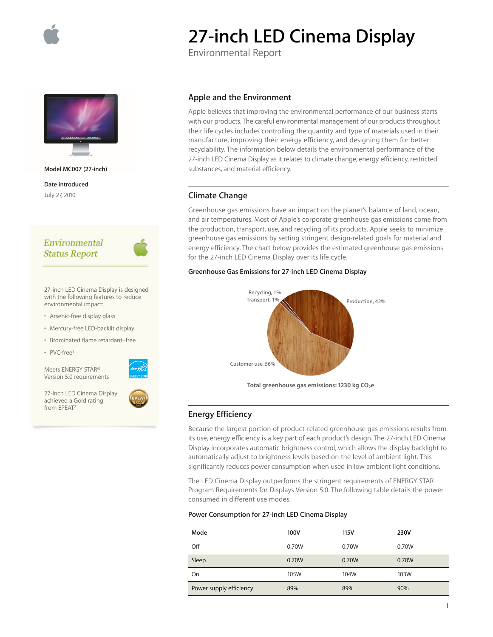

# **27-inch LED Cinema Display**

Environmental Report



**Model MC007 (27-inch)**

**Date introduced** July 27, 2010

# Environmental **Status Report**



27-inch LED Cinema Display is designed with the following features to reduce environmental impact:

- Arsenic-free display glass
- Mercury-free LED-backlit display
- Brominated flame retardant–free
- PVC-free1

from EPEAT2

Meets ENERGY STAR® Version 5.0 requirements

27-inch LED Cinema Display achieved a Gold rating

## **Apple and the Environment**

Apple believes that improving the environmental performance of our business starts with our products. The careful environmental management of our products throughout their life cycles includes controlling the quantity and type of materials used in their manufacture, improving their energy efficiency, and designing them for better recyclability. The information below details the environmental performance of the 27-inch LED Cinema Display as it relates to climate change, energy efficiency, restricted substances, and material efficiency.

## **Climate Change**

Greenhouse gas emissions have an impact on the planet's balance of land, ocean, and air temperatures. Most of Apple's corporate greenhouse gas emissions come from the production, transport, use, and recycling of its products. Apple seeks to minimize greenhouse gas emissions by setting stringent design-related goals for material and energy efficiency. The chart below provides the estimated greenhouse gas emissions for the 27-inch LED Cinema Display over its life cycle.

#### **Greenhouse Gas Emissions for 27-inch LED Cinema Display**



Total greenhouse gas emissions: 1230 kg CO<sub>2</sub>e

### **Energy Efficiency**

Because the largest portion of product-related greenhouse gas emissions results from its use, energy efficiency is a key part of each product's design. The 27-inch LED Cinema Display incorporates automatic brightness control, which allows the display backlight to automatically adjust to brightness levels based on the level of ambient light. This significantly reduces power consumption when used in low ambient light conditions.

The LED Cinema Display outperforms the stringent requirements of ENERGY STAR Program Requirements for Displays Version 5.0. The following table details the power consumed in different use modes.

#### **Power Consumption for 27-inch LED Cinema Display**

| Mode                    | 100V  | 115V  | 230V  |
|-------------------------|-------|-------|-------|
| Off                     | 0.70W | 0.70W | 0.70W |
| Sleep                   | 0.70W | 0.70W | 0.70W |
| On                      | 105W  | 104W  | 103W  |
| Power supply efficiency | 89%   | 89%   | 90%   |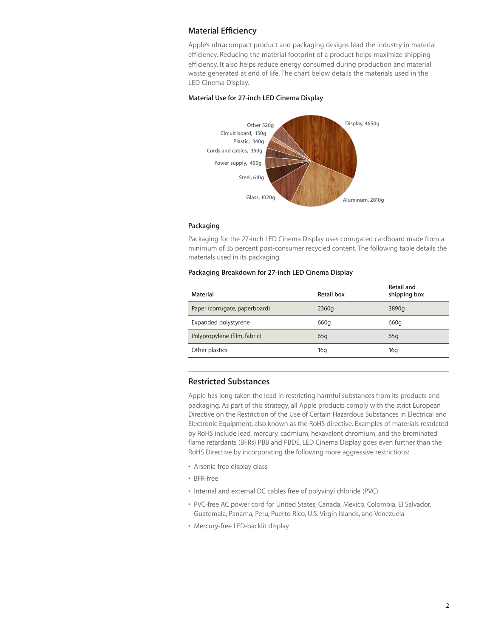## **Material Efficiency**

Apple's ultracompact product and packaging designs lead the industry in material efficiency. Reducing the material footprint of a product helps maximize shipping efficiency. It also helps reduce energy consumed during production and material waste generated at end of life. The chart below details the materials used in the LED Cinema Display.

#### **Material Use for 27-inch LED Cinema Display**



#### **Packaging**

Packaging for the 27-inch LED Cinema Display uses corrugated cardboard made from a minimum of 35 percent post-consumer recycled content. The following table details the materials used in its packaging.

#### **Packaging Breakdown for 27-inch LED Cinema Display**

| Material                      | Retail box | Retail and<br>shipping box |
|-------------------------------|------------|----------------------------|
| Paper (corrugate, paperboard) | 2360g      | 3890g                      |
| Expanded polystyrene          | 660g       | 660g                       |
| Polypropylene (film, fabric)  | 65q        | 65q                        |
| Other plastics                | 16q        | 16g                        |

#### **Restricted Substances**

Apple has long taken the lead in restricting harmful substances from its products and packaging. As part of this strategy, all Apple products comply with the strict European Directive on the Restriction of the Use of Certain Hazardous Substances in Electrical and Electronic Equipment, also known as the RoHS directive. Examples of materials restricted by RoHS include lead, mercury, cadmium, hexavalent chromium, and the brominated flame retardants (BFRs) PBB and PBDE. LED Cinema Display goes even further than the RoHS Directive by incorporating the following more aggressive restrictions:

- Arsenic-free display glass
- BFR-free
- Internal and external DC cables free of polyvinyl chloride (PVC)
- PVC-free AC power cord for United States, Canada, Mexico, Colombia, El Salvador, Guatemala, Panama, Peru, Puerto Rico, U.S. Virgin Islands, and Venezuela
- Mercury-free LED-backlit display